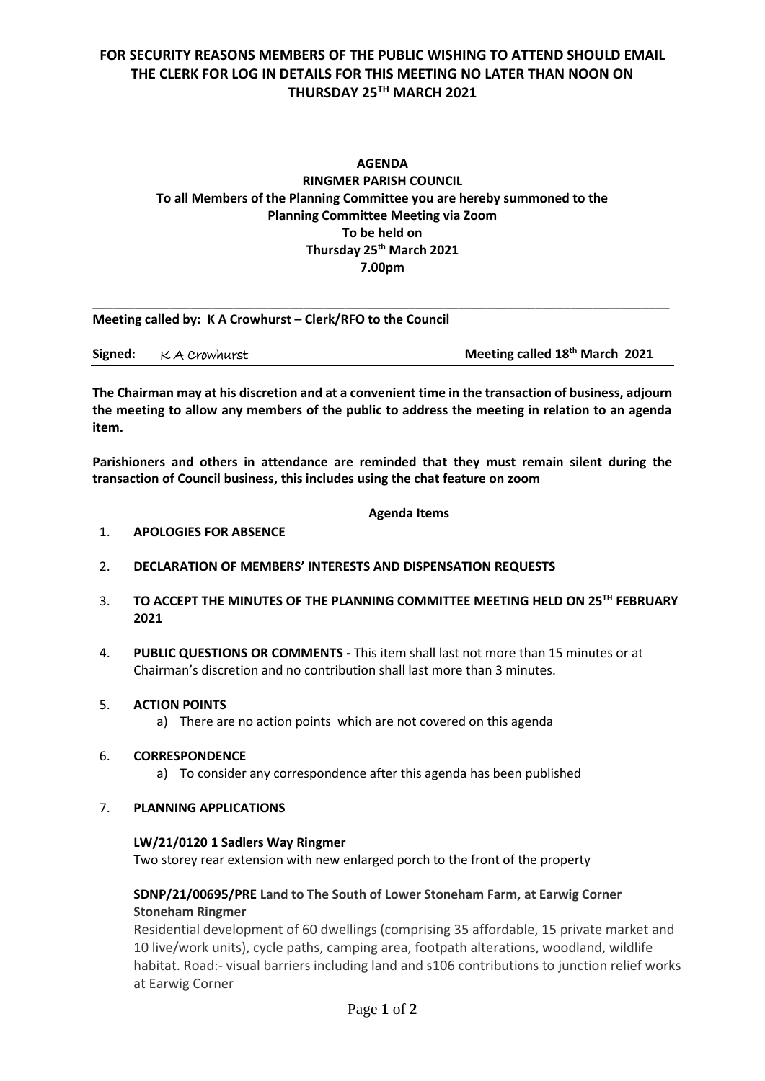# **FOR SECURITY REASONS MEMBERS OF THE PUBLIC WISHING TO ATTEND SHOULD EMAIL THE CLERK FOR LOG IN DETAILS FOR THIS MEETING NO LATER THAN NOON ON THURSDAY 25 TH MARCH 2021**

# **AGENDA RINGMER PARISH COUNCIL To all Members of the Planning Committee you are hereby summoned to the Planning Committee Meeting via Zoom To be held on Thursday 25th March 2021 7.00pm**

| Meeting called by: K A Crowhurst – Clerk/RFO to the Council |               |                                            |  |
|-------------------------------------------------------------|---------------|--------------------------------------------|--|
| Signed:                                                     | K A Crowhurst | Meeting called 18 <sup>th</sup> March 2021 |  |

**The Chairman may at his discretion and at a convenient time in the transaction of business, adjourn the meeting to allow any members of the public to address the meeting in relation to an agenda item.**

**Parishioners and others in attendance are reminded that they must remain silent during the transaction of Council business, this includes using the chat feature on zoom**

## **Agenda Items**

#### 1. **APOLOGIES FOR ABSENCE**

- 2. **DECLARATION OF MEMBERS' INTERESTS AND DISPENSATION REQUESTS**
- 3. **TO ACCEPT THE MINUTES OF THE PLANNING COMMITTEE MEETING HELD ON 25 TH FEBRUARY 2021**
- 4. **PUBLIC QUESTIONS OR COMMENTS -** This item shall last not more than 15 minutes or at Chairman's discretion and no contribution shall last more than 3 minutes.

# 5. **ACTION POINTS**

a) There are no action points which are not covered on this agenda

#### 6. **CORRESPONDENCE**

a) To consider any correspondence after this agenda has been published

#### 7. **PLANNING APPLICATIONS**

#### **LW/21/0120 1 Sadlers Way Ringmer**

Two storey rear extension with new enlarged porch to the front of the property

# **SDNP/21/00695/PRE Land to The South of Lower Stoneham Farm, at Earwig Corner Stoneham Ringmer**

Residential development of 60 dwellings (comprising 35 affordable, 15 private market and 10 live/work units), cycle paths, camping area, footpath alterations, woodland, wildlife habitat. Road:- visual barriers including land and s106 contributions to junction relief works at Earwig Corner